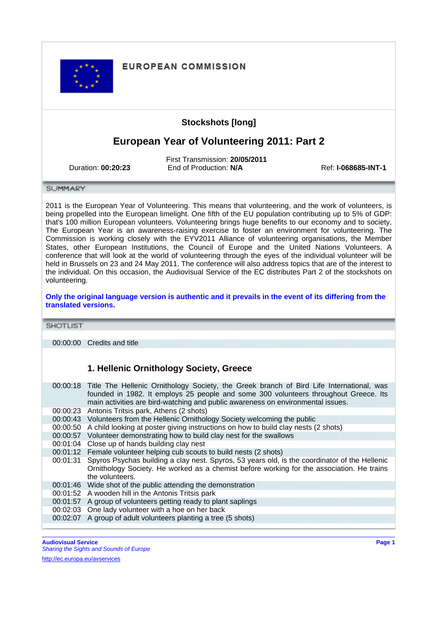#### **EUROPEAN COMMISSION**

## **Stockshots [long]**

# **European Year of Volunteering 2011: Part 2**

First Transmission: **20/05/2011** Duration: **00:20:23** End of Production: **N/A** Ref: **I-068685-INT-1**

SUMMARY

2011 is the European Year of Volunteering. This means that volunteering, and the work of volunteers, is being propelled into the European limelight. One fifth of the EU population contributing up to 5% of GDP: that's 100 million European volunteers. Volunteering brings huge benefits to our economy and to society. The European Year is an awareness-raising exercise to foster an environment for volunteering. The Commission is working closely with the EYV2011 Alliance of volunteering organisations, the Member States, other European Institutions, the Council of Europe and the United Nations Volunteers. A conference that will look at the world of volunteering through the eyes of the individual volunteer will be held in Brussels on 23 and 24 May 2011. The conference will also address topics that are of the interest to the individual. On this occasion, the Audiovisual Service of the EC distributes Part 2 of the stockshots on volunteering.

**Only the original language version is authentic and it prevails in the event of its differing from the translated versions.**

**SHOTLIST** 

00:00:00 Credits and title

#### **1. Hellenic Ornithology Society, Greece**

00:00:18 Title The Hellenic Ornithology Society, the Greek branch of Bird Life International, was founded in 1982. It employs 25 people and some 300 volunteers throughout Greece. Its main activities are bird-watching and public awareness on environmental issues. 00:00:23 Antonis Tritsis park, Athens (2 shots) 00:00:43 Volunteers from the Hellenic Ornithology Society welcoming the public 00:00:50 A child looking at poster giving instructions on how to build clay nests (2 shots) 00:00:57 Volunteer demonstrating how to build clay nest for the swallows 00:01:04 Close up of hands building clay nest 00:01:12 Female volunteer helping cub scouts to build nests (2 shots) 00:01:31 Spyros Psychas building a clay nest. Spyros, 53 years old, is the coordinator of the Hellenic Ornithology Society. He worked as a chemist before working for the association. He trains the volunteers. 00:01:46 Wide shot of the public attending the demonstration 00:01:52 A wooden hill in the Antonis Tritsis park 00:01:57 A group of volunteers getting ready to plant saplings 00:02:03 One lady volunteer with a hoe on her back 00:02:07 A group of adult volunteers planting a tree (5 shots)

**Audiovisual Service Page 1** Sharing the Sights and Sounds of Europe

[http://ec.europa.eu/avservices](http://ec.europa.eu/avservices/home/index_en.cfm)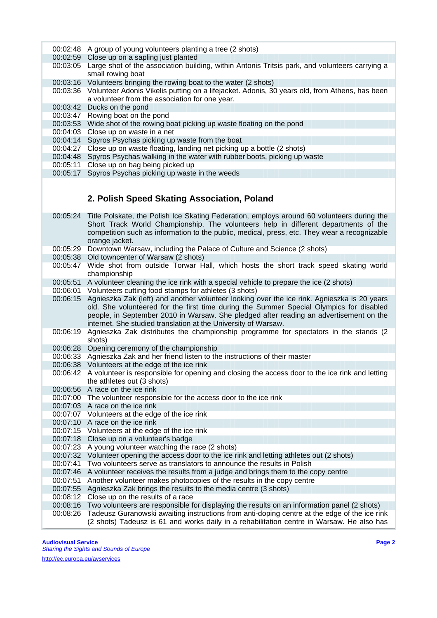- 00:02:48 A group of young volunteers planting a tree (2 shots)
- 00:02:59 Close up on a sapling just planted
- 00:03:05 Large shot of the association building, within Antonis Tritsis park, and volunteers carrying a small rowing boat
- 00:03:16 Volunteers bringing the rowing boat to the water (2 shots)
- 00:03:36 Volunteer Adonis Vikelis putting on a lifejacket. Adonis, 30 years old, from Athens, has been a volunteer from the association for one year.
- 00:03:42 Ducks on the pond
- 00:03:47 Rowing boat on the pond
- 00:03:53 Wide shot of the rowing boat picking up waste floating on the pond
- 00:04:03 Close up on waste in a net
- 00:04:14 Spyros Psychas picking up waste from the boat
- 00:04:27 Close up on waste floating, landing net picking up a bottle (2 shots)
- 00:04:48 Spyros Psychas walking in the water with rubber boots, picking up waste
- 00:05:11 Close up on bag being picked up
- 00:05:17 Spyros Psychas picking up waste in the weeds

### **2. Polish Speed Skating Association, Poland**

- 00:05:24 Title Polskate, the Polish Ice Skating Federation, employs around 60 volunteers during the Short Track World Championship. The volunteers help in different departments of the competition such as information to the public, medical, press, etc. They wear a recognizable orange jacket.
- 00:05:29 Downtown Warsaw, including the Palace of Culture and Science (2 shots)
- 00:05:38 Old towncenter of Warsaw (2 shots)
- 00:05:47 Wide shot from outside Torwar Hall, which hosts the short track speed skating world championship
- 00:05:51 A volunteer cleaning the ice rink with a special vehicle to prepare the ice (2 shots)
- 00:06:01 Volunteers cutting food stamps for athletes (3 shots)
- 00:06:15 Agnieszka Zak (left) and another volunteer looking over the ice rink. Agnieszka is 20 years old. She volunteered for the first time during the Summer Special Olympics for disabled people, in September 2010 in Warsaw. She pledged after reading an advertisement on the internet. She studied translation at the University of Warsaw.
- 00:06:19 Agnieszka Zak distributes the championship programme for spectators in the stands (2 shots)
- 00:06:28 Opening ceremony of the championship
- 00:06:33 Agnieszka Zak and her friend listen to the instructions of their master
- 00:06:38 Volunteers at the edge of the ice rink
- 00:06:42 A volunteer is responsible for opening and closing the access door to the ice rink and letting the athletes out (3 shots)
- 00:06:56 A race on the ice rink
- 00:07:00 The volunteer responsible for the access door to the ice rink
- 00:07:03 A race on the ice rink
- 00:07:07 Volunteers at the edge of the ice rink
- 00:07:10 A race on the ice rink
- 00:07:15 Volunteers at the edge of the ice rink
- 00:07:18 Close up on a volunteer's badge
- 00:07:23 A young volunteer watching the race (2 shots)
- 00:07:32 Volunteer opening the access door to the ice rink and letting athletes out (2 shots)
- 00:07:41 Two volunteers serve as translators to announce the results in Polish
- 00:07:46 A volunteer receives the results from a judge and brings them to the copy centre
- 00:07:51 Another volunteer makes photocopies of the results in the copy centre
- 00:07:55 Agnieszka Zak brings the results to the media centre (3 shots)
- 00:08:12 Close up on the results of a race
- 00:08:16 Two volunteers are responsible for displaying the results on an information panel (2 shots)
- 00:08:26 Tadeusz Guranowski awaiting instructions from anti-doping centre at the edge of the ice rink (2 shots) Tadeusz is 61 and works daily in a rehabilitation centre in Warsaw. He also has

**Audiovisual Service Page 2** Sharing the Sights and Sounds of Europe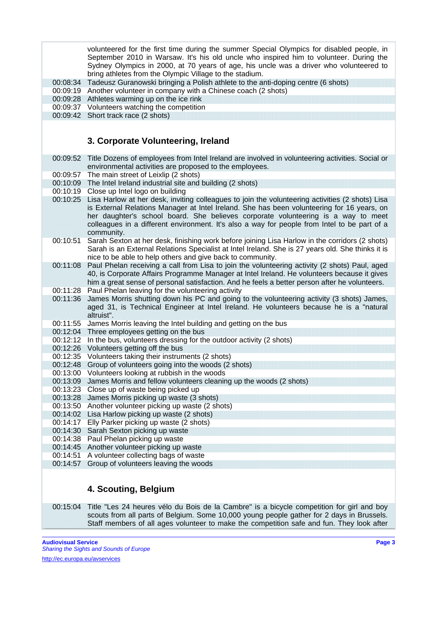volunteered for the first time during the summer Special Olympics for disabled people, in September 2010 in Warsaw. It's his old uncle who inspired him to volunteer. During the Sydney Olympics in 2000, at 70 years of age, his uncle was a driver who volunteered to bring athletes from the Olympic Village to the stadium.

00:08:34 Tadeusz Guranowski bringing a Polish athlete to the anti-doping centre (6 shots)

00:09:19 Another volunteer in company with a Chinese coach (2 shots)

00:09:28 Athletes warming up on the ice rink

- 00:09:37 Volunteers watching the competition
- 00:09:42 Short track race (2 shots)

#### **3. Corporate Volunteering, Ireland**

- 00:09:52 Title Dozens of employees from Intel Ireland are involved in volunteering activities. Social or environmental activities are proposed to the employees.
- 00:09:57 The main street of Leixlip (2 shots)
- 00:10:09 The Intel Ireland industrial site and building (2 shots)
- 00:10:19 Close up Intel logo on building
- 00:10:25 Lisa Harlow at her desk, inviting colleagues to join the volunteering activities (2 shots) Lisa is External Relations Manager at Intel Ireland. She has been volunteering for 16 years, on her daughter's school board. She believes corporate volunteering is a way to meet colleagues in a different environment. It's also a way for people from Intel to be part of a community.
- 00:10:51 Sarah Sexton at her desk, finishing work before joining Lisa Harlow in the corridors (2 shots) Sarah is an External Relations Specialist at Intel Ireland. She is 27 years old. She thinks it is nice to be able to help others and give back to community.
- 00:11:08 Paul Phelan receiving a call from Lisa to join the volunteering activity (2 shots) Paul, aged 40, is Corporate Affairs Programme Manager at Intel Ireland. He volunteers because it gives him a great sense of personal satisfaction. And he feels a better person after he volunteers.
- 00:11:28 Paul Phelan leaving for the volunteering activity
- 00:11:36 James Morris shutting down his PC and going to the volunteering activity (3 shots) James, aged 31, is Technical Engineer at Intel Ireland. He volunteers because he is a "natural altruist".
- 00:11:55 James Morris leaving the Intel building and getting on the bus
- 00:12:04 Three employees getting on the bus
- 00:12:12 In the bus, volunteers dressing for the outdoor activity (2 shots)
- 00:12:26 Volunteers getting off the bus
- 00:12:35 Volunteers taking their instruments (2 shots)
- 00:12:48 Group of volunteers going into the woods (2 shots)
- 00:13:00 Volunteers looking at rubbish in the woods
- 00:13:09 James Morris and fellow volunteers cleaning up the woods (2 shots)
- 00:13:23 Close up of waste being picked up
- 00:13:28 James Morris picking up waste (3 shots)
- 00:13:50 Another volunteer picking up waste (2 shots)
- 00:14:02 Lisa Harlow picking up waste (2 shots)
- 00:14:17 Elly Parker picking up waste (2 shots)
- 00:14:30 Sarah Sexton picking up waste
- 00:14:38 Paul Phelan picking up waste
- 00:14:45 Another volunteer picking up waste
- 00:14:51 A volunteer collecting bags of waste
- 00:14:57 Group of volunteers leaving the woods

# **4. Scouting, Belgium**

00:15:04 Title "Les 24 heures vélo du Bois de la Cambre" is a bicycle competition for girl and boy scouts from all parts of Belgium. Some 10,000 young people gather for 2 days in Brussels. Staff members of all ages volunteer to make the competition safe and fun. They look after